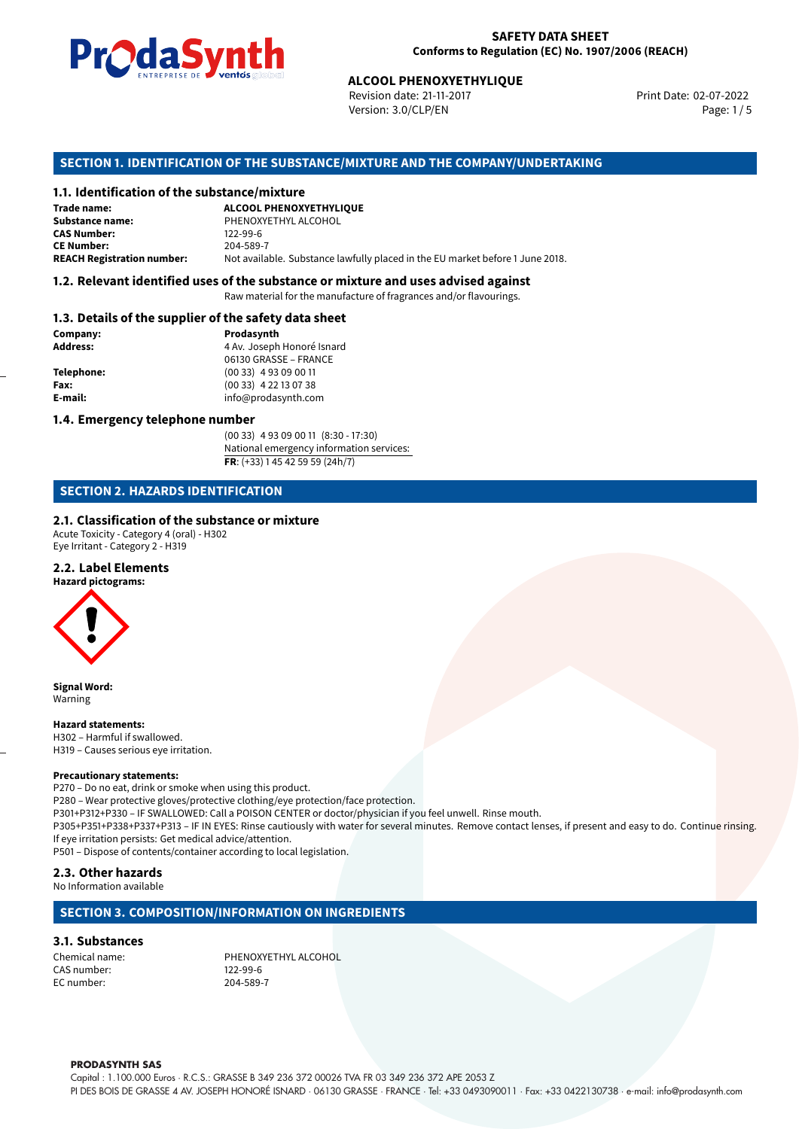

Revision date: 21-11-2017 Version: 3.0/CLP/EN Page: 1/5

Print Date: 02-07-2022

# **SECTION 1. IDENTIFICATION OF THE SUBSTANCE/MIXTURE AND THE COMPANY/UNDERTAKING**

### **1.1. Identification of the substance/mixture**

|                                              | LIVING THE DE <b>DE VOINUS</b> SUSSESSI | <b>ALCOOL PHENOXYETHYLIQUE</b><br>Revision date: 21-11-2017<br>Version: 3.0/CLP/EN |  |
|----------------------------------------------|-----------------------------------------|------------------------------------------------------------------------------------|--|
|                                              |                                         | SECTION 1. IDENTIFICATION OF THE SUBSTANCE/MIXTURE AND THE COMPANY/UNDERTAKI       |  |
| 1.1. Identification of the substance/mixture |                                         |                                                                                    |  |
| Trade name:                                  | <b>ALCOOL PHENOXYETHYLIQUE</b>          |                                                                                    |  |
| Substance name:                              | PHENOXYETHYL ALCOHOL                    |                                                                                    |  |
| <b>CAS Number:</b>                           | 122-99-6                                |                                                                                    |  |
| <b>CE Number:</b>                            | 204-589-7                               |                                                                                    |  |
| <b>REACH Registration number:</b>            |                                         | Not available. Substance lawfully placed in the EU market before 1 June 2018.      |  |
|                                              |                                         |                                                                                    |  |

#### **1.2. Relevant identified uses of the substance or mixture and uses advised against**

Raw material for the manufacture of fragrances and/or flavourings.

#### **1.3. Details of the supplier of the safety data sheet**

| Company:        | Prodasynth                 |  |
|-----------------|----------------------------|--|
| <b>Address:</b> | 4 Av. Joseph Honoré Isnard |  |
|                 | 06130 GRASSE - FRANCE      |  |
| Telephone:      | $(0033)$ 4 93 09 00 11     |  |
| Fax:            | $(0033)$ 4 22 13 07 38     |  |
| E-mail:         | info@prodasynth.com        |  |
|                 |                            |  |

#### **1.4. Emergency telephone number**

(00 33) 4 93 09 00 11 (8:30 - 17:30) National emergency information services: **FR**: (+33) 1 45 42 59 59 (24h/7)

# **SECTION 2. HAZARDS IDENTIFICATION**

#### **2.1. Classification of the substance or mixture**

Acute Toxicity - Category 4 (oral) - H302 Eye Irritant - Category 2 - H319

#### **2.2. Label Elements**

**Hazard pictograms:**



**Signal Word:** Warning

**Hazard statements:** H302 – Harmful if swallowed. H319 – Causes serious eye irritation.

#### **Precautionary statements:**

P270 – Do no eat, drink or smoke when using this product. P280 – Wear protective gloves/protective clothing/eye protection/face protection. P301+P312+P330 – IF SWALLOWED: Call a POISON CENTER or doctor/physician if you feel unwell. Rinse mouth. P305+P351+P338+P337+P313 – IF IN EYES: Rinse cautiously with water for several minutes. Remove contact lenses, if present and easy to do. Continue rinsing. If eye irritation persists: Get medical advice/attention.

P501 – Dispose of contents/container according to local legislation.

# **2.3. Other hazards**

No Information available

### **SECTION 3. COMPOSITION/INFORMATION ON INGREDIENTS**

#### **3.1. Substances**

CAS number: 122-99-6<br>EC number: 204-589-7 EC number:

Chemical name: PHENOXYETHYL ALCOHOL

#### **PRODASYNTH SAS**

Capital : 1.100.000 Euros · R.C.S.: GRASSE B 349 236 372 00026 TVA FR 03 349 236 372 APE 2053 Z PI DES BOIS DE GRASSE 4 AV. JOSEPH HONORÉ ISNARD · 06130 GRASSE · FRANCE · Tel: +33 0493090011 · Fax: +33 0422130738 · e-mail: info@prodasynth.com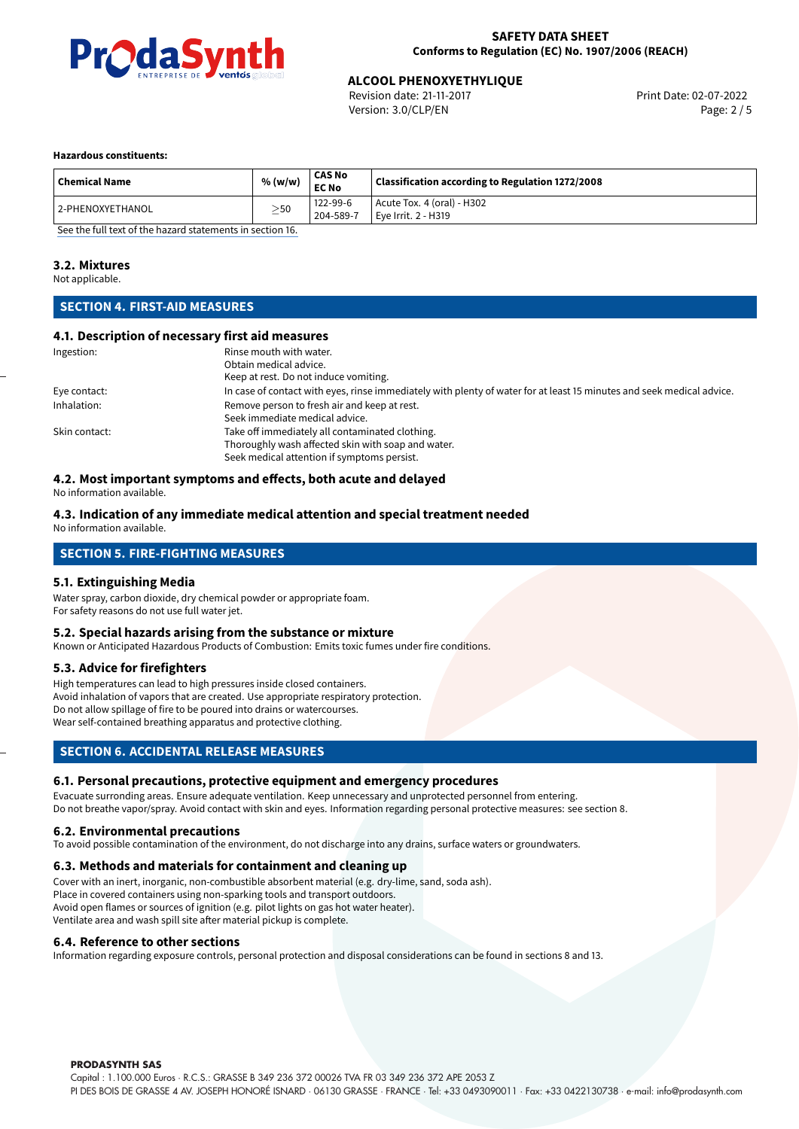

Revision date: 21-11-2017 Version: 3.0/CLP/EN Page: 2 / 5

#### **Hazardous constituents:**

| <b>Chemical Name</b> | % (w/w)   | CAS No<br>EC No       | Classification according to Regulation 1272/2008  |
|----------------------|-----------|-----------------------|---------------------------------------------------|
| 12-PHENOXYETHANOL    | $\geq$ 50 | 122-99-6<br>204-589-7 | Acute Tox. 4 (oral) - H302<br>Eve Irrit. 2 - H319 |

[See the full text of the hazard statements in section 16.](#page-4-0)

#### **3.2. Mixtures**

Not applicable.

# **SECTION 4. FIRST-AID MEASURES**

#### **4.1. Description of necessary first aid measures**

| Ingestion:    | Rinse mouth with water.<br>Obtain medical advice.<br>Keep at rest. Do not induce vomiting.                                                           |
|---------------|------------------------------------------------------------------------------------------------------------------------------------------------------|
| Eye contact:  | In case of contact with eyes, rinse immediately with plenty of water for at least 15 minutes and seek medical advice.                                |
| Inhalation:   | Remove person to fresh air and keep at rest.<br>Seek immediate medical advice.                                                                       |
| Skin contact: | Take off immediately all contaminated clothing.<br>Thoroughly wash affected skin with soap and water.<br>Seek medical attention if symptoms persist. |

# **4.2. Most important symptoms and effects, both acute and delayed**

No information available.

#### **4.3. Indication of any immediate medical attention and special treatment needed** No information available.

# **SECTION 5. FIRE-FIGHTING MEASURES**

#### **5.1. Extinguishing Media**

Water spray, carbon dioxide, dry chemical powder or appropriate foam. For safety reasons do not use full water jet.

#### **5.2. Special hazards arising from the substance or mixture**

Known or Anticipated Hazardous Products of Combustion: Emits toxic fumes under fire conditions.

#### **5.3. Advice for firefighters**

High temperatures can lead to high pressures inside closed containers. Avoid inhalation of vapors that are created. Use appropriate respiratory protection. Do not allow spillage of fire to be poured into drains or watercourses. Wear self-contained breathing apparatus and protective clothing.

#### **SECTION 6. ACCIDENTAL RELEASE MEASURES**

#### **6.1. Personal precautions, protective equipment and emergency procedures**

Evacuate surronding areas. Ensure adequate ventilation. Keep unnecessary and unprotected personnel from entering. Do not breathe vapor/spray. Avoid contact with skin and eyes. Information regarding personal protective measures: see section 8.

#### **6.2. Environmental precautions**

To avoid possible contamination of the environment, do not discharge into any drains, surface waters or groundwaters.

#### **6.3. Methods and materials for containment and cleaning up**

Cover with an inert, inorganic, non-combustible absorbent material (e.g. dry-lime, sand, soda ash). Place in covered containers using non-sparking tools and transport outdoors. Avoid open flames or sources of ignition (e.g. pilot lights on gas hot water heater). Ventilate area and wash spill site after material pickup is complete.

#### **6.4. Reference to other sections**

Information regarding exposure controls, personal protection and disposal considerations can be found in sections 8 and 13.

#### **PRODASYNTH SAS**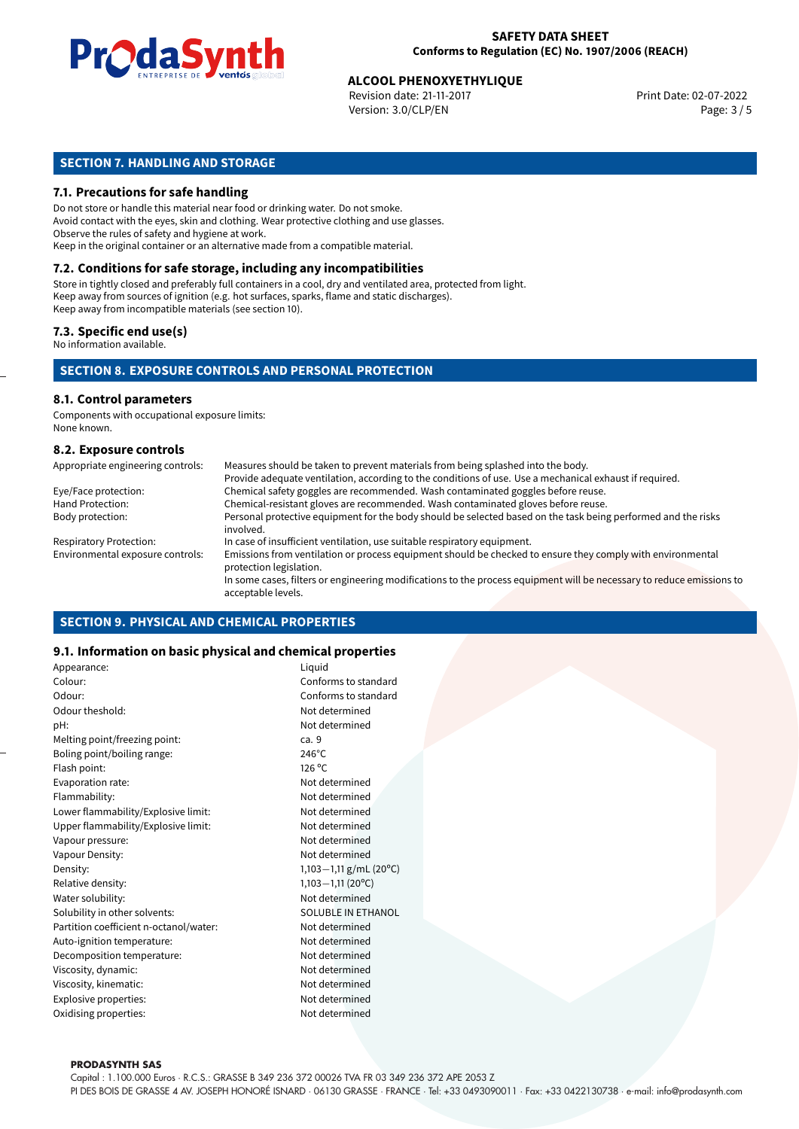

Revision date: 21-11-2017 Version: 3.0/CLP/EN Page: 3 / 5

# **SECTION 7. HANDLING AND STORAGE**

#### **7.1. Precautions for safe handling**

Do not store or handle this material near food or drinking water. Do not smoke. Avoid contact with the eyes, skin and clothing. Wear protective clothing and use glasses. Observe the rules of safety and hygiene at work. Keep in the original container or an alternative made from a compatible material.

# **7.2. Conditions for safe storage, including any incompatibilities**

Store in tightly closed and preferably full containers in a cool, dry and ventilated area, protected from light. Keep away from sources of ignition (e.g. hot surfaces, sparks, flame and static discharges). Keep away from incompatible materials (see section 10).

#### **7.3. Specific end use(s)**

No information available.

### **SECTION 8. EXPOSURE CONTROLS AND PERSONAL PROTECTION**

# **8.1. Control parameters**

Components with occupational exposure limits: None known.

#### **8.2. Exposure controls**

| Appropriate engineering controls: | Measures should be taken to prevent materials from being splashed into the body.                                                            |
|-----------------------------------|---------------------------------------------------------------------------------------------------------------------------------------------|
|                                   | Provide adequate ventilation, according to the conditions of use. Use a mechanical exhaust if required.                                     |
| Eye/Face protection:              | Chemical safety goggles are recommended. Wash contaminated goggles before reuse.                                                            |
| Hand Protection:                  | Chemical-resistant gloves are recommended. Wash contaminated gloves before reuse.                                                           |
| Body protection:                  | Personal protective equipment for the body should be selected based on the task being performed and the risks<br>involved.                  |
| <b>Respiratory Protection:</b>    | In case of insufficient ventilation, use suitable respiratory equipment.                                                                    |
| Environmental exposure controls:  | Emissions from ventilation or process equipment should be checked to ensure they comply with environmental<br>protection legislation.       |
|                                   | In some cases, filters or engineering modifications to the process equipment will be necessary to reduce emissions to<br>acceptable levels. |

#### **SECTION 9. PHYSICAL AND CHEMICAL PROPERTIES**

#### **9.1. Information on basic physical and chemical properties**

| Appearance:                            | Liguid                 |
|----------------------------------------|------------------------|
| Colour:                                | Conforms to standard   |
| Odour:                                 | Conforms to standard   |
| Odour theshold:                        | Not determined         |
| pH:                                    | Not determined         |
| Melting point/freezing point:          | ca. 9                  |
| Boling point/boiling range:            | $246^{\circ}$ C        |
| Flash point:                           | $126^{\circ}$ C        |
| Evaporation rate:                      | Not determined         |
| Flammability:                          | Not determined         |
| Lower flammability/Explosive limit:    | Not determined         |
| Upper flammability/Explosive limit:    | Not determined         |
| Vapour pressure:                       | Not determined         |
| Vapour Density:                        | Not determined         |
| Density:                               | 1,103-1,11 g/mL (20°C) |
| Relative density:                      | $1,103 - 1,11(20°C)$   |
| Water solubility:                      | Not determined         |
| Solubility in other solvents:          | SOLUBLE IN ETHANOL     |
| Partition coefficient n-octanol/water: | Not determined         |
| Auto-ignition temperature:             | Not determined         |
| Decomposition temperature:             | Not determined         |
| Viscosity, dynamic:                    | Not determined         |
| Viscosity, kinematic:                  | Not determined         |
| Explosive properties:                  | Not determined         |
| Oxidising properties:                  | Not determined         |
|                                        |                        |

#### **PRODASYNTH SAS**

Capital : 1.100.000 Euros · R.C.S.: GRASSE B 349 236 372 00026 TVA FR 03 349 236 372 APE 2053 Z PI DES BOIS DE GRASSE 4 AV. JOSEPH HONORÉ ISNARD · 06130 GRASSE · FRANCE · Tel: +33 0493090011 · Fax: +33 0422130738 · e-mail: info@prodasynth.com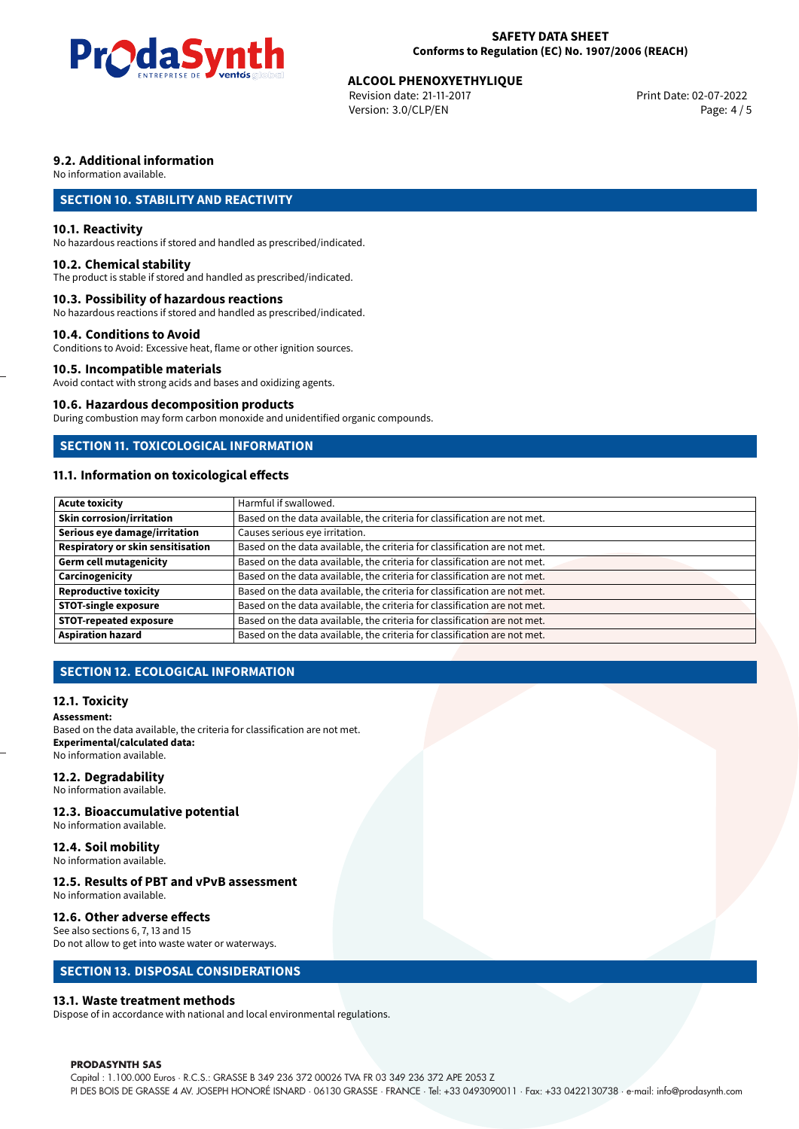

Revision date: 21-11-2017 Version: 3.0/CLP/EN Page: 4 / 5

# **9.2. Additional information**

No information available.

# **SECTION 10. STABILITY AND REACTIVITY**

#### **10.1. Reactivity**

No hazardous reactions if stored and handled as prescribed/indicated.

#### **10.2. Chemical stability**

The product is stable if stored and handled as prescribed/indicated.

#### **10.3. Possibility of hazardous reactions**

No hazardous reactions if stored and handled as prescribed/indicated.

#### **10.4. Conditions to Avoid**

Conditions to Avoid: Excessive heat, flame or other ignition sources.

### **10.5. Incompatible materials**

Avoid contact with strong acids and bases and oxidizing agents.

#### **10.6. Hazardous decomposition products**

During combustion may form carbon monoxide and unidentified organic compounds.

# **SECTION 11. TOXICOLOGICAL INFORMATION**

# **11.1. Information on toxicological effects**

| <b>Acute toxicity</b>             | Harmful if swallowed.                                                     |
|-----------------------------------|---------------------------------------------------------------------------|
|                                   |                                                                           |
| Skin corrosion/irritation         | Based on the data available, the criteria for classification are not met. |
| Serious eye damage/irritation     | Causes serious eye irritation.                                            |
| Respiratory or skin sensitisation | Based on the data available, the criteria for classification are not met. |
| Germ cell mutagenicity            | Based on the data available, the criteria for classification are not met. |
| Carcinogenicity                   | Based on the data available, the criteria for classification are not met. |
| Reproductive toxicity             | Based on the data available, the criteria for classification are not met. |
| <b>STOT-single exposure</b>       | Based on the data available, the criteria for classification are not met. |
| <b>STOT-repeated exposure</b>     | Based on the data available, the criteria for classification are not met. |
| <b>Aspiration hazard</b>          | Based on the data available, the criteria for classification are not met. |

# **SECTION 12. ECOLOGICAL INFORMATION**

#### **12.1. Toxicity**

#### **Assessment:**

Based on the data available, the criteria for classification are not met. **Experimental/calculated data:** No information available.

#### **12.2. Degradability**

No information available.

#### **12.3. Bioaccumulative potential**

No information available.

# **12.4. Soil mobility**

No information available.

# **12.5. Results of PBT and vPvB assessment**

No information available.

#### **12.6. Other adverse effects**

See also sections 6, 7, 13 and 15 Do not allow to get into waste water or waterways.

### **SECTION 13. DISPOSAL CONSIDERATIONS**

#### **13.1. Waste treatment methods**

Dispose of in accordance with national and local environmental regulations.

#### **PRODASYNTH SAS**

Capital : 1.100.000 Euros · R.C.S.: GRASSE B 349 236 372 00026 TVA FR 03 349 236 372 APE 2053 Z PI DES BOIS DE GRASSE 4 AV. JOSEPH HONORÉ ISNARD · 06130 GRASSE · FRANCE · Tel: +33 0493090011 · Fax: +33 0422130738 · e-mail: info@prodasynth.com